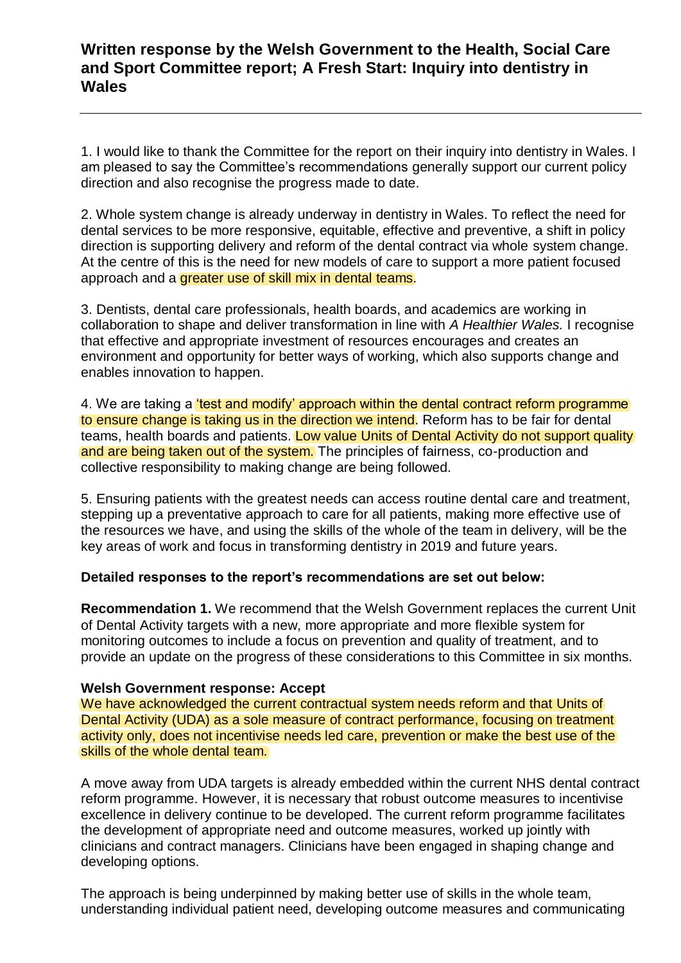# **Written response by the Welsh Government to the Health, Social Care and Sport Committee report; A Fresh Start: Inquiry into dentistry in Wales**

1. I would like to thank the Committee for the report on their inquiry into dentistry in Wales. I am pleased to say the Committee's recommendations generally support our current policy direction and also recognise the progress made to date.

2. Whole system change is already underway in dentistry in Wales. To reflect the need for dental services to be more responsive, equitable, effective and preventive, a shift in policy direction is supporting delivery and reform of the dental contract via whole system change. At the centre of this is the need for new models of care to support a more patient focused approach and a greater use of skill mix in dental teams.

3. Dentists, dental care professionals, health boards, and academics are working in collaboration to shape and deliver transformation in line with *A Healthier Wales.* I recognise that effective and appropriate investment of resources encourages and creates an environment and opportunity for better ways of working, which also supports change and enables innovation to happen.

4. We are taking a *test and modify' approach within the dental contract reform programme* to ensure change is taking us in the direction we intend. Reform has to be fair for dental teams, health boards and patients. Low value Units of Dental Activity do not support quality and are being taken out of the system. The principles of fairness, co-production and collective responsibility to making change are being followed.

5. Ensuring patients with the greatest needs can access routine dental care and treatment, stepping up a preventative approach to care for all patients, making more effective use of the resources we have, and using the skills of the whole of the team in delivery, will be the key areas of work and focus in transforming dentistry in 2019 and future years.

## **Detailed responses to the report's recommendations are set out below:**

**Recommendation 1.** We recommend that the Welsh Government replaces the current Unit of Dental Activity targets with a new, more appropriate and more flexible system for monitoring outcomes to include a focus on prevention and quality of treatment, and to provide an update on the progress of these considerations to this Committee in six months.

## **Welsh Government response: Accept**

We have acknowledged the current contractual system needs reform and that Units of Dental Activity (UDA) as a sole measure of contract performance, focusing on treatment activity only, does not incentivise needs led care, prevention or make the best use of the skills of the whole dental team.

A move away from UDA targets is already embedded within the current NHS dental contract reform programme. However, it is necessary that robust outcome measures to incentivise excellence in delivery continue to be developed. The current reform programme facilitates the development of appropriate need and outcome measures, worked up jointly with clinicians and contract managers. Clinicians have been engaged in shaping change and developing options.

The approach is being underpinned by making better use of skills in the whole team, understanding individual patient need, developing outcome measures and communicating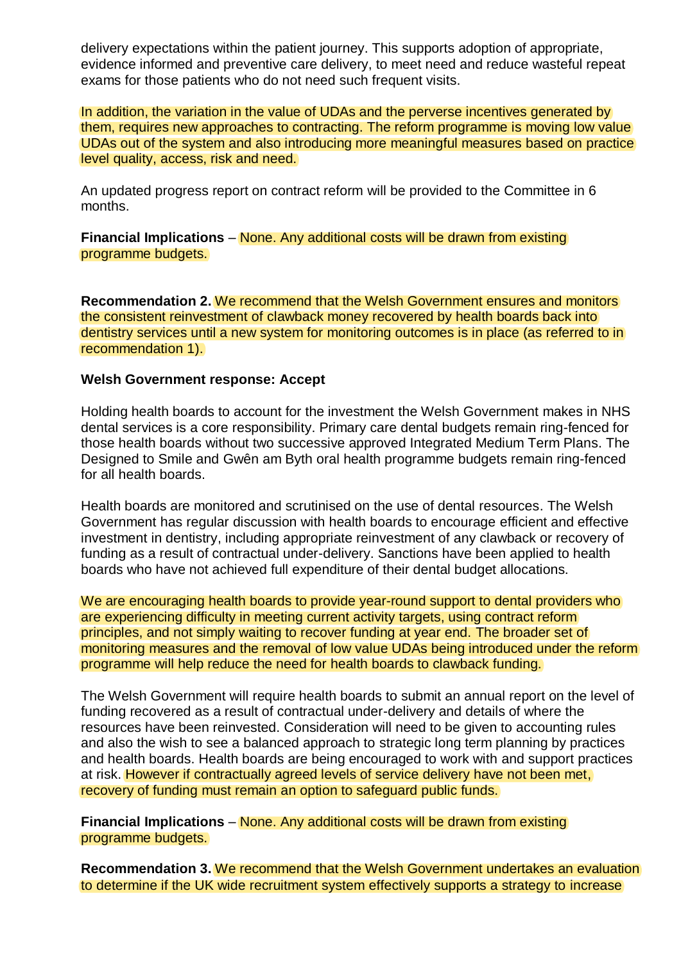delivery expectations within the patient journey. This supports adoption of appropriate, evidence informed and preventive care delivery, to meet need and reduce wasteful repeat exams for those patients who do not need such frequent visits.

In addition, the variation in the value of UDAs and the perverse incentives generated by them, requires new approaches to contracting. The reform programme is moving low value UDAs out of the system and also introducing more meaningful measures based on practice level quality, access, risk and need.

An updated progress report on contract reform will be provided to the Committee in 6 months.

**Financial Implications** – None. Any additional costs will be drawn from existing programme budgets.

**Recommendation 2.** We recommend that the Welsh Government ensures and monitors the consistent reinvestment of clawback money recovered by health boards back into dentistry services until a new system for monitoring outcomes is in place (as referred to in recommendation 1).

### **Welsh Government response: Accept**

Holding health boards to account for the investment the Welsh Government makes in NHS dental services is a core responsibility. Primary care dental budgets remain ring-fenced for those health boards without two successive approved Integrated Medium Term Plans. The Designed to Smile and Gwên am Byth oral health programme budgets remain ring-fenced for all health boards.

Health boards are monitored and scrutinised on the use of dental resources. The Welsh Government has regular discussion with health boards to encourage efficient and effective investment in dentistry, including appropriate reinvestment of any clawback or recovery of funding as a result of contractual under-delivery. Sanctions have been applied to health boards who have not achieved full expenditure of their dental budget allocations.

We are encouraging health boards to provide year-round support to dental providers who are experiencing difficulty in meeting current activity targets, using contract reform principles, and not simply waiting to recover funding at year end. The broader set of monitoring measures and the removal of low value UDAs being introduced under the reform programme will help reduce the need for health boards to clawback funding.

The Welsh Government will require health boards to submit an annual report on the level of funding recovered as a result of contractual under-delivery and details of where the resources have been reinvested. Consideration will need to be given to accounting rules and also the wish to see a balanced approach to strategic long term planning by practices and health boards. Health boards are being encouraged to work with and support practices at risk. However if contractually agreed levels of service delivery have not been met, recovery of funding must remain an option to safeguard public funds.

**Financial Implications** – None. Any additional costs will be drawn from existing programme budgets.

**Recommendation 3.** We recommend that the Welsh Government undertakes an evaluation to determine if the UK wide recruitment system effectively supports a strategy to increase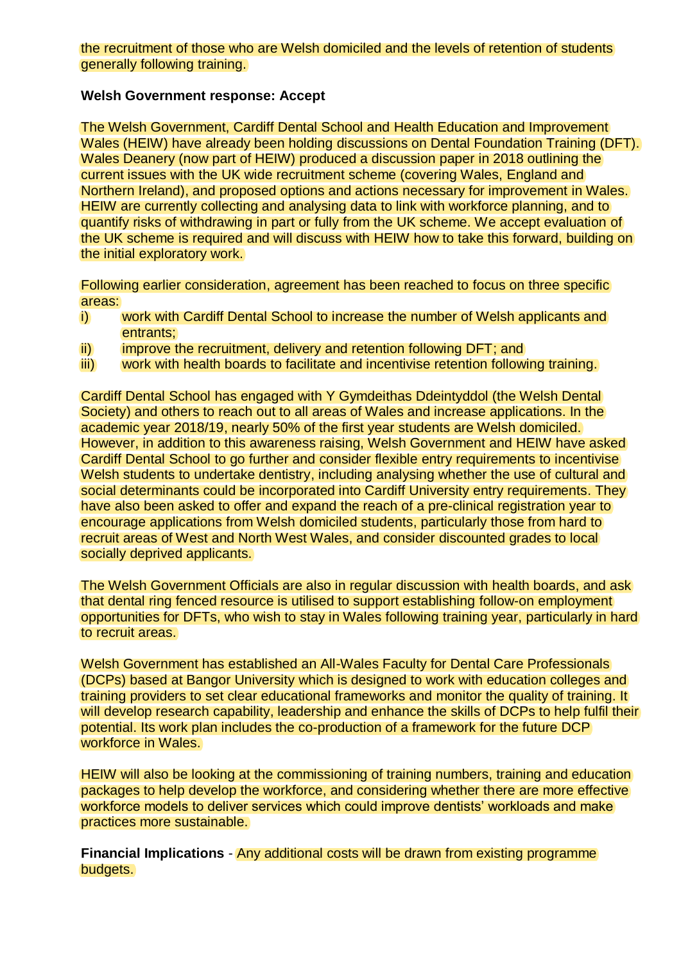the recruitment of those who are Welsh domiciled and the levels of retention of students generally following training.

### **Welsh Government response: Accept**

The Welsh Government, Cardiff Dental School and Health Education and Improvement Wales (HEIW) have already been holding discussions on Dental Foundation Training (DFT). Wales Deanery (now part of HEIW) produced a discussion paper in 2018 outlining the current issues with the UK wide recruitment scheme (covering Wales, England and Northern Ireland), and proposed options and actions necessary for improvement in Wales. HEIW are currently collecting and analysing data to link with workforce planning, and to quantify risks of withdrawing in part or fully from the UK scheme. We accept evaluation of the UK scheme is required and will discuss with HEIW how to take this forward, building on the initial exploratory work.

Following earlier consideration, agreement has been reached to focus on three specific areas:

- i) work with Cardiff Dental School to increase the number of Welsh applicants and entrants;
- ii) improve the recruitment, delivery and retention following DFT; and
- iii) work with health boards to facilitate and incentivise retention following training.

Cardiff Dental School has engaged with Y Gymdeithas Ddeintyddol (the Welsh Dental Society) and others to reach out to all areas of Wales and increase applications. In the academic year 2018/19, nearly 50% of the first year students are Welsh domiciled. However, in addition to this awareness raising, Welsh Government and HEIW have asked Cardiff Dental School to go further and consider flexible entry requirements to incentivise Welsh students to undertake dentistry, including analysing whether the use of cultural and social determinants could be incorporated into Cardiff University entry requirements. They have also been asked to offer and expand the reach of a pre-clinical registration year to encourage applications from Welsh domiciled students, particularly those from hard to recruit areas of West and North West Wales, and consider discounted grades to local socially deprived applicants.

The Welsh Government Officials are also in regular discussion with health boards, and ask that dental ring fenced resource is utilised to support establishing follow-on employment opportunities for DFTs, who wish to stay in Wales following training year, particularly in hard to recruit areas.

Welsh Government has established an All-Wales Faculty for Dental Care Professionals (DCPs) based at Bangor University which is designed to work with education colleges and training providers to set clear educational frameworks and monitor the quality of training. It will develop research capability, leadership and enhance the skills of DCPs to help fulfil their potential. Its work plan includes the co-production of a framework for the future DCP workforce in Wales.

HEIW will also be looking at the commissioning of training numbers, training and education packages to help develop the workforce, and considering whether there are more effective workforce models to deliver services which could improve dentists' workloads and make practices more sustainable.

**Financial Implications** - Any additional costs will be drawn from existing programme budgets.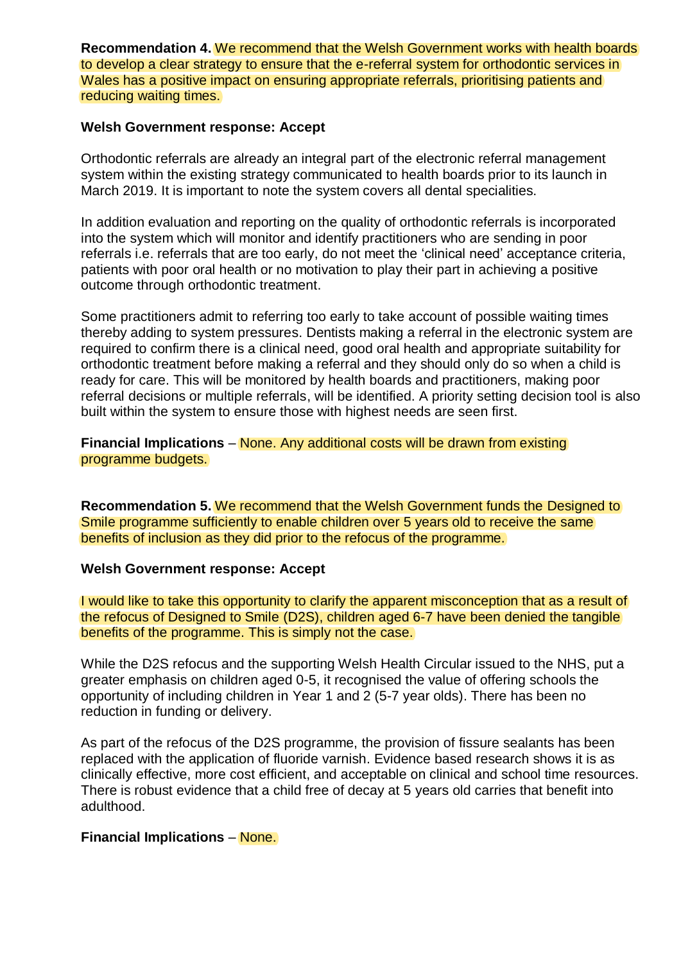**Recommendation 4.** We recommend that the Welsh Government works with health boards to develop a clear strategy to ensure that the e-referral system for orthodontic services in Wales has a positive impact on ensuring appropriate referrals, prioritising patients and reducing waiting times.

### **Welsh Government response: Accept**

Orthodontic referrals are already an integral part of the electronic referral management system within the existing strategy communicated to health boards prior to its launch in March 2019. It is important to note the system covers all dental specialities.

In addition evaluation and reporting on the quality of orthodontic referrals is incorporated into the system which will monitor and identify practitioners who are sending in poor referrals i.e. referrals that are too early, do not meet the 'clinical need' acceptance criteria, patients with poor oral health or no motivation to play their part in achieving a positive outcome through orthodontic treatment.

Some practitioners admit to referring too early to take account of possible waiting times thereby adding to system pressures. Dentists making a referral in the electronic system are required to confirm there is a clinical need, good oral health and appropriate suitability for orthodontic treatment before making a referral and they should only do so when a child is ready for care. This will be monitored by health boards and practitioners, making poor referral decisions or multiple referrals, will be identified. A priority setting decision tool is also built within the system to ensure those with highest needs are seen first.

**Financial Implications** – None. Any additional costs will be drawn from existing programme budgets.

**Recommendation 5.** We recommend that the Welsh Government funds the Designed to Smile programme sufficiently to enable children over 5 years old to receive the same benefits of inclusion as they did prior to the refocus of the programme.

#### **Welsh Government response: Accept**

I would like to take this opportunity to clarify the apparent misconception that as a result of the refocus of Designed to Smile (D2S), children aged 6-7 have been denied the tangible benefits of the programme. This is simply not the case.

While the D2S refocus and the supporting Welsh Health Circular issued to the NHS, put a greater emphasis on children aged 0-5, it recognised the value of offering schools the opportunity of including children in Year 1 and 2 (5-7 year olds). There has been no reduction in funding or delivery.

As part of the refocus of the D2S programme, the provision of fissure sealants has been replaced with the application of fluoride varnish. Evidence based research shows it is as clinically effective, more cost efficient, and acceptable on clinical and school time resources. There is robust evidence that a child free of decay at 5 years old carries that benefit into adulthood.

## **Financial Implications** – None.